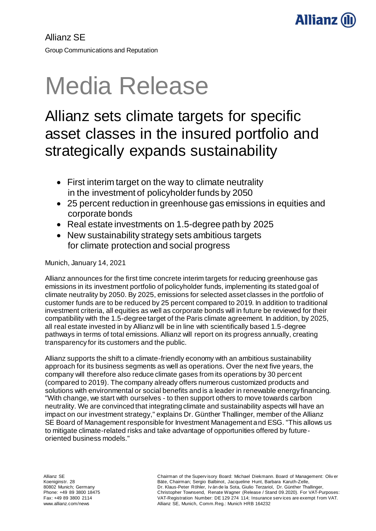

# Media Release

# Allianz sets climate targets for specific asset classes in the insured portfolio and strategically expands sustainability

- First interim target on the way to climate neutrality in the investment of policyholder funds by 2050
- 25 percent reduction in greenhouse gas emissions in equities and corporate bonds
- Real estate investments on 1.5-degree path by 2025
- New sustainability strategy sets ambitious targets for climate protection and social progress

Munich, January 14, 2021

Allianz announces for the first time concrete interim targets for reducing greenhouse gas emissions in its investment portfolio of policyholder funds, implementing its stated goal of climate neutrality by 2050. By 2025, emissions for selected asset classes in the portfolio of customer funds are to be reduced by 25 percent compared to 2019. In addition to traditional investment criteria, all equities as well as corporate bonds will in future be reviewed for their compatibility with the 1.5-degree target of the Paris climate agreement. In addition, by 2025, all real estate invested in by Allianz will be in line with scientifically based 1.5-degree pathways in terms of total emissions. Allianz will report on its progress annually, creating transparency for its customers and the public.

Allianz supports the shift to a climate-friendly economy with an ambitious sustainability approach for its business segments as well as operations. Over the next five years, the company will therefore also reduce climate gases from its operations by 30 percent (compared to 2019). The company already offers numerous customized products and solutions with environmental or social benefits and is a leader in renewable energy financing. "With change, we start with ourselves - to then support others to move towards carbon neutrality. We are convinced that integrating climate and sustainability aspects will have an impact on our investment strategy," explains Dr. Günther Thallinger, member of the Allianz SE Board of Management responsible for Investment Management and ESG. "This allows us to mitigate climate-related risks and take advantage of opportunities offered by futureoriented business models."

Allianz SE Koeniginstr. 28 80802 Munich; Germany Phone: +49 89 3800 18475 Fax: +49 89 3800 2114 www.allianz.com/news

Chairman of the Superv isory Board: Michael Diekmann. Board of Management: Oliv er Bäte, Chairman; Sergio Balbinot, Jacqueline Hunt, Barbara Karuth-Zelle, Dr. Klaus-Peter Röhler, Iv án de la Sota, Giulio Terzariol, Dr. Günther Thallinger, Christopher Townsend, Renate Wagner (Release / Stand 09.2020). For VAT-Purposes: VAT-Registration Number: DE 129 274 114; Insurance serv ices are exempt f rom VAT. Allianz SE, Munich, Comm.Reg.: Munich HRB 164232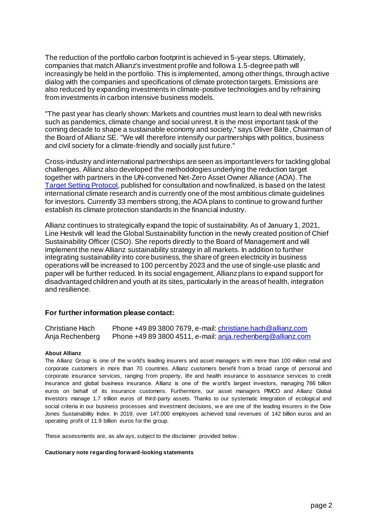The reduction of the portfolio carbon footprint is achieved in 5-year steps. Ultimately, companies that match Allianz's investment profile and follow a 1.5-degree path will increasingly be held in the portfolio. This is implemented, among other things, through active dialog with the companies and specifications of climate protection targets. Emissions are also reduced by expanding investments in climate-positive technologies and by refraining from investments in carbon intensive business models.

"The past year has clearly shown: Markets and countries must learn to deal with new risks such as pandemics, climate change and social unrest. It is the most important task of the coming decade to shape a sustainable economy and society," says Oliver Bäte, Chairman of the Board of Allianz SE. "We will therefore intensify our partnerships with politics, business and civil society for a climate-friendly and socially just future."

Cross-industry and international partnerships are seen as important levers for tackling global challenges. Allianz also developed the methodologies underlying the reduction target together with partners in the UN-convened Net-Zero Asset Owner Alliance (AOA). The [Target Setting Protocol](https://www.unepfi.org/wordpress/wp-content/uploads/2021/01/Alliance-Target-Setting-Protocol-2021.pdf), published for consultation and now finalized, is based on the latest international climate research and is currently one of the most ambitious climate guidelines for investors. Currently 33 members strong, the AOA plans to continue to grow and further establish its climate protection standards in the financial industry.

Allianz continues to strategically expand the topic of sustainability. As of January 1, 2021, Line Hestvik will lead the Global Sustainability function in the newly created position of Chief Sustainability Officer (CSO). She reports directly to the Board of Management and will implement the new Allianz sustainability strategy in all markets. In addition to further integrating sustainability into core business, the share of green electricity in business operations will be increased to 100 percent by 2023 and the use of single-use plastic and paper will be further reduced. In its social engagement, Allianz plans to expand support for disadvantaged children and youth at its sites, particularly in the areas of health, integration and resilience.

## **For further information please contact:**

| Christiane Hach | Phone +49 89 3800 7679, e-mail: christiane.hach@allianz.com |
|-----------------|-------------------------------------------------------------|
| Anja Rechenberg | Phone +49 89 3800 4511, e-mail: anja.rechenberg@allianz.com |

### **About Allianz**

The Allianz Group is one of the w orld's leading insurers and asset managers w ith more than 100 million retail and corporate customers in more than 70 countries. Allianz customers benefit from a broad range of personal and corporate insurance services, ranging from property, life and health insurance to assistance services to credit insurance and global business insurance. Allianz is one of the w orld's largest investors, managing 766 billion euros on behalf of its insurance customers. Furthermore, our asset managers PIMCO and Allianz Global Investors manage 1.7 trillion euros of third-party assets. Thanks to our systematic integration of ecological and social criteria in our business processes and investment decisions, we are one of the leading insurers in the Dow Jones Sustainability Index. In 2019, over 147,000 employees achieved total revenues of 142 billion euros and an operating profit of 11.9 billion euros for the group.

These assessments are, as alw ays, subject to the disclaimer provided below .

### **Cautionary note regarding forward-looking statements**